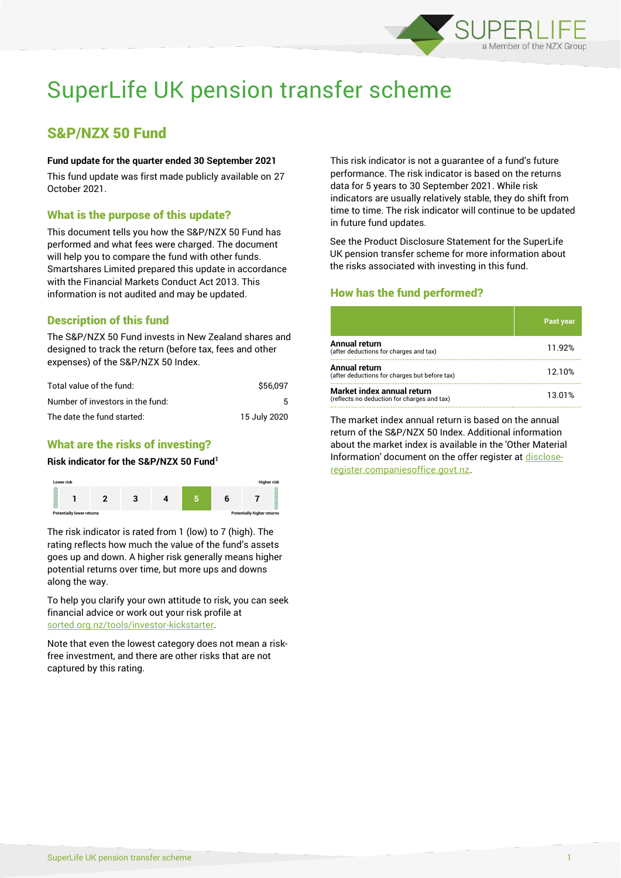

# SuperLife UK pension transfer scheme

# S&P/NZX 50 Fund

#### **Fund update for the quarter ended 30 September 2021**

This fund update was first made publicly available on 27 October 2021.

## What is the purpose of this update?

This document tells you how the S&P/NZX 50 Fund has performed and what fees were charged. The document will help you to compare the fund with other funds. Smartshares Limited prepared this update in accordance with the Financial Markets Conduct Act 2013. This information is not audited and may be updated.

# Description of this fund

The S&P/NZX 50 Fund invests in New Zealand shares and designed to track the return (before tax, fees and other expenses) of the S&P/NZX 50 Index.

| Total value of the fund:         | \$56,097     |
|----------------------------------|--------------|
| Number of investors in the fund: | 5.           |
| The date the fund started:       | 15 July 2020 |

# What are the risks of investing?

#### **Risk indicator for the S&P/NZX 50 Fund<sup>1</sup>**



The risk indicator is rated from 1 (low) to 7 (high). The rating reflects how much the value of the fund's assets goes up and down. A higher risk generally means higher potential returns over time, but more ups and downs along the way.

To help you clarify your own attitude to risk, you can seek financial advice or work out your risk profile at [sorted.org.nz/tools/investor-kickstarter.](http://www.sorted.org.nz/tools/investor-kickstarter)

Note that even the lowest category does not mean a riskfree investment, and there are other risks that are not captured by this rating.

This risk indicator is not a guarantee of a fund's future performance. The risk indicator is based on the returns data for 5 years to 30 September 2021. While risk indicators are usually relatively stable, they do shift from time to time. The risk indicator will continue to be updated in future fund updates.

See the Product Disclosure Statement for the SuperLife UK pension transfer scheme for more information about the risks associated with investing in this fund.

# How has the fund performed?

|                                                                           | <b>Past year</b> |
|---------------------------------------------------------------------------|------------------|
| Annual return<br>(after deductions for charges and tax)                   | 11.92%           |
| Annual return<br>(after deductions for charges but before tax)            | 12.10%           |
| Market index annual return<br>(reflects no deduction for charges and tax) | 13.01%           |

The market index annual return is based on the annual return of the S&P/NZX 50 Index. Additional information about the market index is available in the 'Other Material Information' document on the offer register at [disclose](http://www.disclose-register.companiesoffice.govt.nz/)[register.companiesoffice.govt.nz.](http://www.disclose-register.companiesoffice.govt.nz/)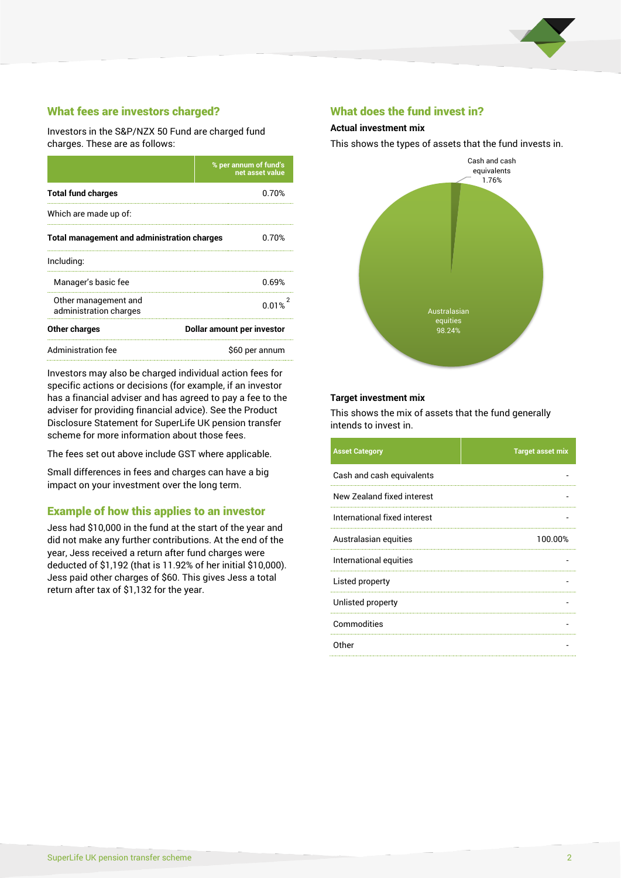

# What fees are investors charged?

Investors in the S&P/NZX 50 Fund are charged fund charges. These are as follows:

|                                                    | % per annum of fund's<br>net asset value |  |
|----------------------------------------------------|------------------------------------------|--|
| <b>Total fund charges</b>                          | 0.70%                                    |  |
| Which are made up of:                              |                                          |  |
| <b>Total management and administration charges</b> | 0.70%                                    |  |
| Including:                                         |                                          |  |
| Manager's basic fee                                | 0.69%                                    |  |
| Other management and<br>administration charges     | 0.01%                                    |  |
| Other charges                                      | Dollar amount per investor               |  |
| Administration fee                                 | \$60 per annum                           |  |

Investors may also be charged individual action fees for specific actions or decisions (for example, if an investor has a financial adviser and has agreed to pay a fee to the adviser for providing financial advice). See the Product Disclosure Statement for SuperLife UK pension transfer scheme for more information about those fees.

The fees set out above include GST where applicable.

Small differences in fees and charges can have a big impact on your investment over the long term.

### Example of how this applies to an investor

Jess had \$10,000 in the fund at the start of the year and did not make any further contributions. At the end of the year, Jess received a return after fund charges were deducted of \$1,192 (that is 11.92% of her initial \$10,000). Jess paid other charges of \$60. This gives Jess a total return after tax of \$1,132 for the year.

#### What does the fund invest in?

#### **Actual investment mix**

This shows the types of assets that the fund invests in.



#### **Target investment mix**

This shows the mix of assets that the fund generally intends to invest in.

| <b>Asset Category</b>        | <b>Target asset mix</b> |
|------------------------------|-------------------------|
| Cash and cash equivalents    |                         |
| New Zealand fixed interest   |                         |
| International fixed interest |                         |
| Australasian equities        | 100.00%                 |
| International equities       |                         |
| Listed property              |                         |
| Unlisted property            |                         |
| Commodities                  |                         |
| Other                        |                         |